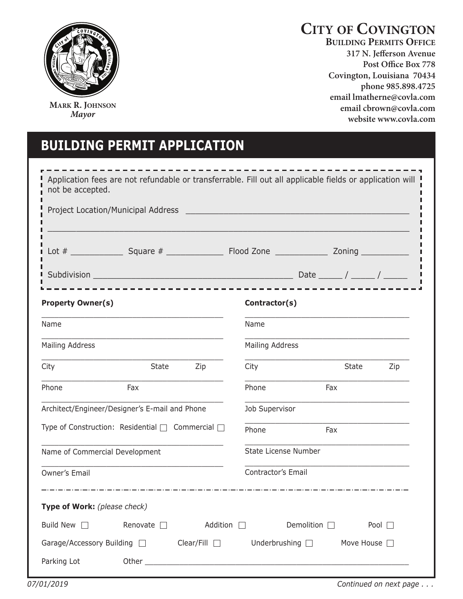

**MARK R. JOHNSON** *Mayor*

# **CITY OF COVINGTON**

**BUILDING PERMITS OFFICE 317 N. Jefferson Avenue**  Covington, Louisiana 70434 phone 985.898.4725 email lmatherne@covla.com email cbrown@covla.com website www.covla.com

# **building PermiT aPPliCaTiOn**

| not be accepted.                                                                                                                                     | Application fees are not refundable or transferrable. Fill out all applicable fields or application will |
|------------------------------------------------------------------------------------------------------------------------------------------------------|----------------------------------------------------------------------------------------------------------|
|                                                                                                                                                      |                                                                                                          |
|                                                                                                                                                      |                                                                                                          |
|                                                                                                                                                      |                                                                                                          |
| <b>Property Owner(s)</b>                                                                                                                             | Contractor(s)                                                                                            |
| Name                                                                                                                                                 | Name                                                                                                     |
| <b>Mailing Address</b>                                                                                                                               | <b>Mailing Address</b>                                                                                   |
| City<br>State<br>Zip                                                                                                                                 | State<br>City<br>Zip                                                                                     |
| Phone<br>Fax                                                                                                                                         | Phone<br>Fax                                                                                             |
| Architect/Engineer/Designer's E-mail and Phone                                                                                                       | Job Supervisor                                                                                           |
| Type of Construction: Residential □ Commercial □                                                                                                     | Phone<br>Fax                                                                                             |
| Name of Commercial Development                                                                                                                       | State License Number                                                                                     |
| <b>Owner's Email</b>                                                                                                                                 | Contractor's Email                                                                                       |
| المساويات والمساويات والمساويات والمساويات والمساويات والمساويات والمساويات والمساويات والمساويات والمساويات والمساو<br>Type of Work: (please check) |                                                                                                          |
|                                                                                                                                                      |                                                                                                          |
| Build New $\Box$<br>Renovate $\Box$ Addition $\Box$                                                                                                  | Demolition $\square$<br>Pool                                                                             |
| Garage/Accessory Building $\Box$ Clear/Fill $\Box$ Underbrushing $\Box$ Move House $\Box$                                                            |                                                                                                          |
| Parking Lot                                                                                                                                          |                                                                                                          |